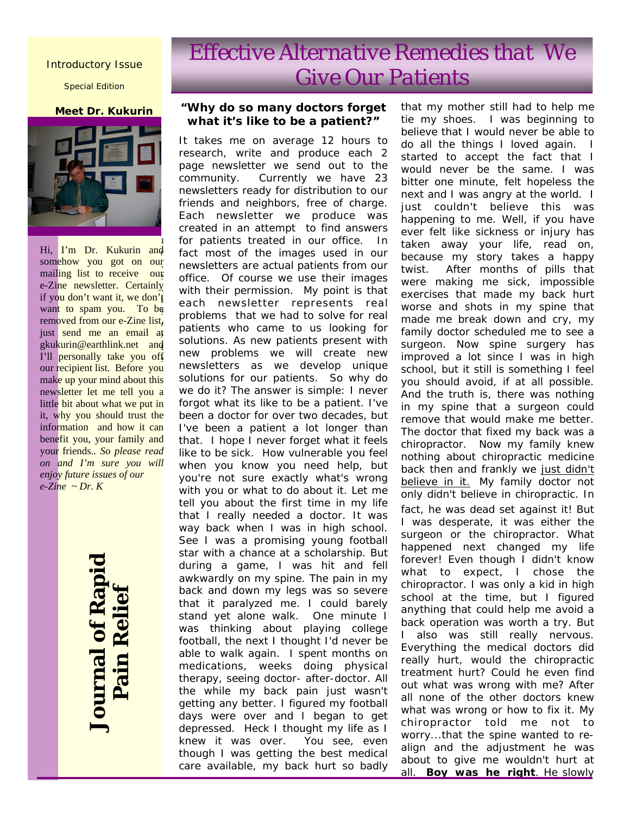### Introductory Issue

Special Edition

#### **Meet Dr. Kukurin**



Hi, <mark>I'm Dr. Kukurin an</mark>d som<mark>ehow you got on our</mark> mail<mark>ing list to receive our</mark> e-Zi<mark>ne newsletter. Certainly</mark> if yo<mark>u don't want it, we don'</mark>t want to spam you. To be removed from our e-Zine list, just send me an email at gkuk<mark>urin@earthlink.net and</mark> I'll <mark>personally take you off</mark> our recipient list. Before you make up your mind about this newsletter let me tell you a little bit about what we put in it, why you should trust the information and how it can benefit you, your family and your friends.*. So please read on and I'm sure you will enjoy future issues of our e-Zine ~ Dr. K* 

> **Journal of Rapid Journal of Rapi**<br>Pain Relief  **Pain Relief**

# *Effective Alternative Remedies that We Give Our Patients*

### *"Why do so many doctors forget what it's like to be a patient?"*

It takes me on average 12 hours to research, write and produce each 2 page newsletter we send out to the community. Currently we have 23 newsletters ready for distribution to our friends and neighbors, free of charge. Each newsletter we produce was created in an attempt to find answers for patients treated in our office. In fact most of the images used in our newsletters are actual patients from our office. Of course we use their images with their permission. My point is that each newsletter represents real problems that we had to solve for real patients who came to us looking for solutions. As new patients present with new problems we will create new newsletters as we develop unique solutions for our patients. So why do we do it? The answer is simple: I never forgot what its like to be a patient. I've been a doctor for over two decades, but I've been a patient a lot longer than that. I hope I never forget what it feels like to be sick. How vulnerable you feel when you know you need help, but you're not sure exactly what's wrong with you or what to do about it. Let me tell you about the first time in my life that I *really* needed a doctor. It was way back when I was in high school. See I was a promising young football star with a chance at a scholarship. But during a game, I was hit and fell awkwardly on my spine. The pain in my back and down my legs was so severe that it paralyzed me. I could barely stand yet alone walk. One minute I was thinking about playing college football, the next I thought I'd never be able to walk again. I spent months on medications, weeks doing physical therapy, seeing doctor- after-doctor. All the while my back pain just wasn't getting any better. I figured my football days were over and I began to get depressed. Heck I thought my life as I knew it was over. You see, even though I was getting the best medical care available, my back hurt so badly

that my mother still had to help me tie my shoes. I was beginning to believe that I would never be able to do all the things I loved again. I started to accept the fact that I would never be the same. I was bitter one minute, felt hopeless the next and I was angry at the world. I just couldn't believe this was happening to me. Well, if you have ever felt like sickness or injury has taken away your life, read on, because my story takes a happy twist. After months of pills that were making me sick, impossible exercises that made my back hurt worse and shots in my spine that made me break down and cry, my family doctor scheduled me to see a surgeon. Now spine surgery has improved a lot since I was in high school, but it still is something I feel you should avoid, if at all possible. And the truth is, there was nothing in my spine that a surgeon could remove that would make me better. The doctor that fixed my back was a chiropractor. Now my family knew nothing about chiropractic medicine back then and frankly we *just didn't believe in it.* My family doctor not only didn't believe in chiropractic. In fact, he was dead set against it! But I was desperate, it was either the surgeon or the chiropractor. *What happened next changed my life forever!* Even though I didn't know what to expect, I chose the chiropractor. I was only a kid in high school at the time, but I figured anything that could help me avoid a back operation was worth a try. But I also was still really nervous. Everything the medical doctors did really hurt, would the chiropractic treatment hurt? Could he even find out what was wrong with me? After all none of the other doctors knew what was wrong or how to fix it. My chiropractor told me not to worry...that the spine wanted to realign and the *adjustment he was about to give me wouldn't hurt at all*. **Boy was he right**. He slowly